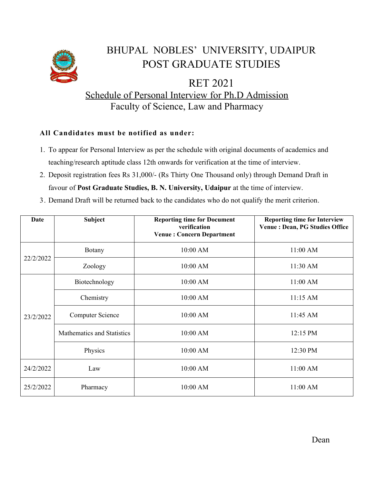

## BHUPAL NOBLES' UNIVERSITY, UDAIPUR POST GRADUATE STUDIES

RET 2021 Schedule of Personal Interview for Ph.D Admission Faculty of Science, Law and Pharmacy

## **All Candidates must be notified as under:**

- 1. To appear for Personal Interview as per the schedule with original documents of academics and teaching/research aptitude class 12th onwards for verification at the time of interview.
- 2. Deposit registration fees Rs 31,000/- (Rs Thirty One Thousand only) through Demand Draft in favour of **Post Graduate Studies, B. N. University, Udaipur** at the time of interview.
- 3. Demand Draft will be returned back to the candidates who do not qualify the merit criterion.

| Date      | <b>Subject</b>             | <b>Reporting time for Document</b><br>verification<br><b>Venue: Concern Department</b> | <b>Reporting time for Interview</b><br>Venue : Dean, PG Studies Office |
|-----------|----------------------------|----------------------------------------------------------------------------------------|------------------------------------------------------------------------|
| 22/2/2022 | <b>Botany</b>              | 10:00 AM                                                                               | 11:00 AM                                                               |
|           | Zoology                    | 10:00 AM                                                                               | 11:30 AM                                                               |
| 23/2/2022 | Biotechnology              | 10:00 AM                                                                               | 11:00 AM                                                               |
|           | Chemistry                  | 10:00 AM                                                                               | $11:15$ AM                                                             |
|           | <b>Computer Science</b>    | 10:00 AM                                                                               | 11:45 AM                                                               |
|           | Mathematics and Statistics | 10:00 AM                                                                               | 12:15 PM                                                               |
|           | Physics                    | 10:00 AM                                                                               | 12:30 PM                                                               |
| 24/2/2022 | Law                        | 10:00 AM                                                                               | 11:00 AM                                                               |
| 25/2/2022 | Pharmacy                   | 10:00 AM                                                                               | 11:00 AM                                                               |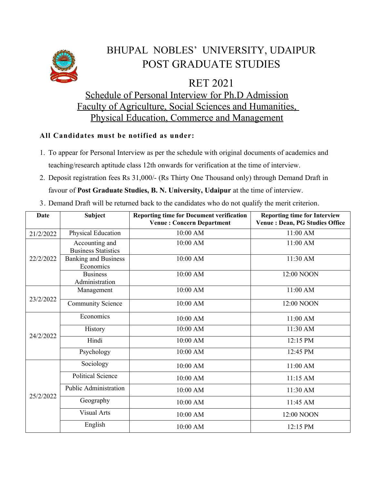

## BHUPAL NOBLES' UNIVERSITY, UDAIPUR POST GRADUATE STUDIES

RET 2021

Schedule of Personal Interview for Ph.D Admission Faculty of Agriculture, Social Sciences and Humanities, Physical Education, Commerce and Management

## **All Candidates must be notified as under:**

- 1. To appear for Personal Interview as per the schedule with original documents of academics and teaching/research aptitude class 12th onwards for verification at the time of interview.
- 2. Deposit registration fees Rs 31,000/- (Rs Thirty One Thousand only) through Demand Draft in favour of **Post Graduate Studies, B. N. University, Udaipur** at the time of interview.

3. Demand Draft will be returned back to the candidates who do not qualify the merit criterion.

| <b>Date</b> | <b>Subject</b>                               | <b>Reporting time for Document verification</b><br><b>Venue: Concern Department</b> | <b>Reporting time for Interview</b><br><b>Venue: Dean, PG Studies Office</b> |
|-------------|----------------------------------------------|-------------------------------------------------------------------------------------|------------------------------------------------------------------------------|
| 21/2/2022   | Physical Education                           | 10:00 AM                                                                            | 11:00 AM                                                                     |
| 22/2/2022   | Accounting and<br><b>Business Statistics</b> | 10:00 AM                                                                            | 11:00 AM                                                                     |
|             | <b>Banking and Business</b><br>Economics     | 10:00 AM                                                                            | 11:30 AM                                                                     |
|             | <b>Business</b><br>Administration            | 10:00 AM                                                                            | 12:00 NOON                                                                   |
| 23/2/2022   | Management                                   | 10:00 AM                                                                            | 11:00 AM                                                                     |
|             | <b>Community Science</b>                     | 10:00 AM                                                                            | 12:00 NOON                                                                   |
| 24/2/2022   | Economics                                    | 10:00 AM                                                                            | 11:00 AM                                                                     |
|             | <b>History</b>                               | 10:00 AM                                                                            | 11:30 AM                                                                     |
|             | Hindi                                        | 10:00 AM                                                                            | 12:15 PM                                                                     |
|             | Psychology                                   | 10:00 AM                                                                            | 12:45 PM                                                                     |
| 25/2/2022   | Sociology                                    | 10:00 AM                                                                            | 11:00 AM                                                                     |
|             | <b>Political Science</b>                     | 10:00 AM                                                                            | 11:15 AM                                                                     |
|             | <b>Public Administration</b>                 | 10:00 AM                                                                            | 11:30 AM                                                                     |
|             | Geography                                    | 10:00 AM                                                                            | 11:45 AM                                                                     |
|             | <b>Visual Arts</b>                           | 10:00 AM                                                                            | 12:00 NOON                                                                   |
|             | English                                      | 10:00 AM                                                                            | 12:15 PM                                                                     |